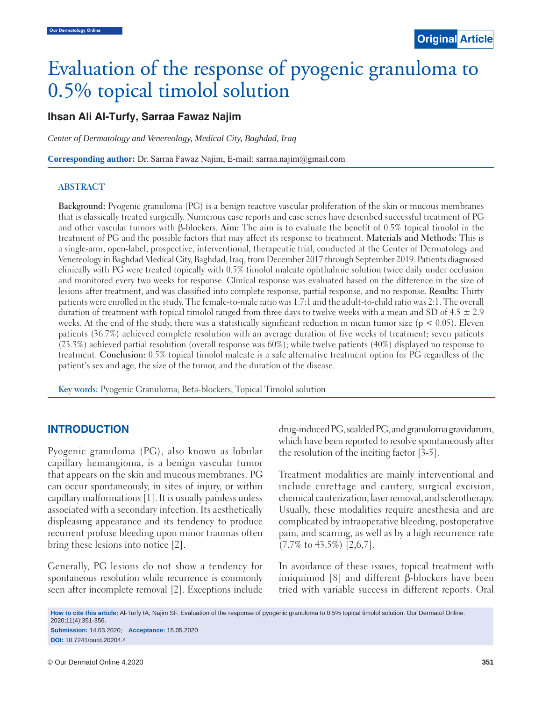# Evaluation of the response of pyogenic granuloma to 0.5% topical timolol solution

# 0.5% topical timolol solution .5% topical timolol **Ihsan Ali Al-Turfy, Sarraa Fawaz Najim**

*Center of Dermatology and Venereology, Medical City, Baghdad, Iraq*

**Corresponding author:** Dr. Sarraa Fawaz Najim, E-mail: sarraa.najim@gmail.com

#### **ABSTRACT**

**Background:** Pyogenic granuloma (PG) is a benign reactive vascular proliferation of the skin or mucous membranes that is classically treated surgically. Numerous case reports and case series have described successful treatment of PG and other vascular tumors with β-blockers. **Aim:** The aim is to evaluate the benefit of 0.5% topical timolol in the treatment of PG and the possible factors that may affect its response to treatment. **Materials and Methods:** This is a single-arm, open-label, prospective, interventional, therapeutic trial, conducted at the Center of Dermatology and Venereology in Baghdad Medical City, Baghdad, Iraq, from December 2017 through September 2019. Patients diagnosed clinically with PG were treated topically with 0.5% timolol maleate ophthalmic solution twice daily under occlusion and monitored every two weeks for response. Clinical response was evaluated based on the difference in the size of lesions after treatment, and was classified into complete response, partial response, and no response. **Results:** Thirty patients were enrolled in the study. The female-to-male ratio was 1.7:1 and the adult-to-child ratio was 2:1. The overall duration of treatment with topical timolol ranged from three days to twelve weeks with a mean and SD of  $4.5 \pm 2.9$ weeks. At the end of the study, there was a statistically significant reduction in mean tumor size  $(p < 0.05)$ . Eleven patients (36.7%) achieved complete resolution with an average duration of five weeks of treatment; seven patients (23.3%) achieved partial resolution (overall response was 60%); while twelve patients (40%) displayed no response to treatment. **Conclusion:** 0.5% topical timolol maleate is a safe alternative treatment option for PG regardless of the patient's sex and age, the size of the tumor, and the duration of the disease.

**Key words:** Pyogenic Granuloma; Beta-blockers; Topical Timolol solution

# **INTRODUCTION**

Pyogenic granuloma (PG), also known as lobular capillary hemangioma, is a benign vascular tumor that appears on the skin and mucous membranes. PG can occur spontaneously, in sites of injury, or within capillary malformations [1]. It is usually painless unless associated with a secondary infection. Its aesthetically displeasing appearance and its tendency to produce recurrent profuse bleeding upon minor traumas often bring these lesions into notice [2].

Generally, PG lesions do not show a tendency for spontaneous resolution while recurrence is commonly seen after incomplete removal [2]. Exceptions include drug-induced PG, scalded PG, and granuloma gravidarum, which have been reported to resolve spontaneously after the resolution of the inciting factor [3-5].

Treatment modalities are mainly interventional and include curettage and cautery, surgical excision, chemical cauterization, laser removal, and sclerotherapy. Usually, these modalities require anesthesia and are complicated by intraoperative bleeding, postoperative pain, and scarring, as well as by a high recurrence rate (7.7% to 43.5%) [2,6,7].

In avoidance of these issues, topical treatment with imiquimod [8] and different β-blockers have been tried with variable success in different reports. Oral

**How to cite this article:** Al-Turfy IA, Najim SF. Evaluation of the response of pyogenic granuloma to 0.5% topical timolol solution. Our Dermatol Online. 2020;11(4):351-356. **Submission:** 14.03.2020; **Acceptance:** 15.05.2020

**DOI:** 10.7241/ourd.20204.4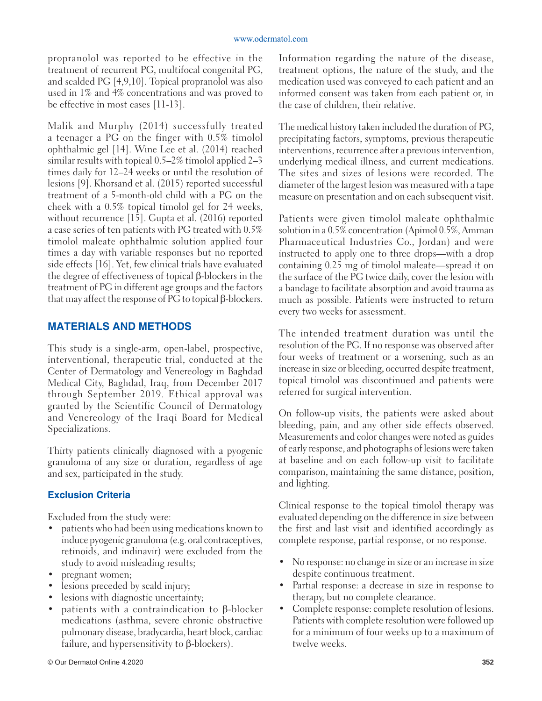propranolol was reported to be effective in the treatment of recurrent PG, multifocal congenital PG, and scalded PG [4,9,10]. Topical propranolol was also used in 1% and 4% concentrations and was proved to be effective in most cases [11-13].

Malik and Murphy (2014) successfully treated a teenager a PG on the finger with 0.5% timolol ophthalmic gel [14]. Wine Lee et al. (2014) reached similar results with topical 0.5–2% timolol applied 2–3 times daily for 12–24 weeks or until the resolution of lesions [9]. Khorsand et al. (2015) reported successful treatment of a 5-month-old child with a PG on the cheek with a 0.5% topical timolol gel for 24 weeks, without recurrence [15]. Gupta et al. (2016) reported a case series of ten patients with PG treated with 0.5% timolol maleate ophthalmic solution applied four times a day with variable responses but no reported side effects [16]. Yet, few clinical trials have evaluated the degree of effectiveness of topical β-blockers in the treatment of PG in different age groups and the factors that may affect the response of PG to topical β-blockers.

# **MATERIALS AND METHODS**

This study is a single-arm, open-label, prospective, interventional, therapeutic trial, conducted at the Center of Dermatology and Venereology in Baghdad Medical City, Baghdad, Iraq, from December 2017 through September 2019. Ethical approval was granted by the Scientific Council of Dermatology and Venereology of the Iraqi Board for Medical Specializations.

Thirty patients clinically diagnosed with a pyogenic granuloma of any size or duration, regardless of age and sex, participated in the study.

# **Exclusion Criteria**

Excluded from the study were:

- patients who had been using medications known to induce pyogenic granuloma (e.g. oral contraceptives, retinoids, and indinavir) were excluded from the study to avoid misleading results;
- pregnant women;
- lesions preceded by scald injury;
- lesions with diagnostic uncertainty;
- patients with a contraindication to  $β$ -blocker medications (asthma, severe chronic obstructive pulmonary disease, bradycardia, heart block, cardiac failure, and hypersensitivity to β-blockers).

The medical history taken included the duration of PG, precipitating factors, symptoms, previous therapeutic interventions, recurrence after a previous intervention, underlying medical illness, and current medications. The sites and sizes of lesions were recorded. The diameter of the largest lesion was measured with a tape measure on presentation and on each subsequent visit.

Patients were given timolol maleate ophthalmic solution in a 0.5% concentration (Apimol 0.5%, Amman Pharmaceutical Industries Co., Jordan) and were instructed to apply one to three drops—with a drop containing 0.25 mg of timolol maleate—spread it on the surface of the PG twice daily, cover the lesion with a bandage to facilitate absorption and avoid trauma as much as possible. Patients were instructed to return every two weeks for assessment.

The intended treatment duration was until the resolution of the PG. If no response was observed after four weeks of treatment or a worsening, such as an increase in size or bleeding, occurred despite treatment, topical timolol was discontinued and patients were referred for surgical intervention.

On follow-up visits, the patients were asked about bleeding, pain, and any other side effects observed. Measurements and color changes were noted as guides of early response, and photographs of lesions were taken at baseline and on each follow-up visit to facilitate comparison, maintaining the same distance, position, and lighting.

Clinical response to the topical timolol therapy was evaluated depending on the difference in size between the first and last visit and identified accordingly as complete response, partial response, or no response.

- No response: no change in size or an increase in size despite continuous treatment.
- Partial response: a decrease in size in response to therapy, but no complete clearance.
- Complete response: complete resolution of lesions. Patients with complete resolution were followed up for a minimum of four weeks up to a maximum of twelve weeks.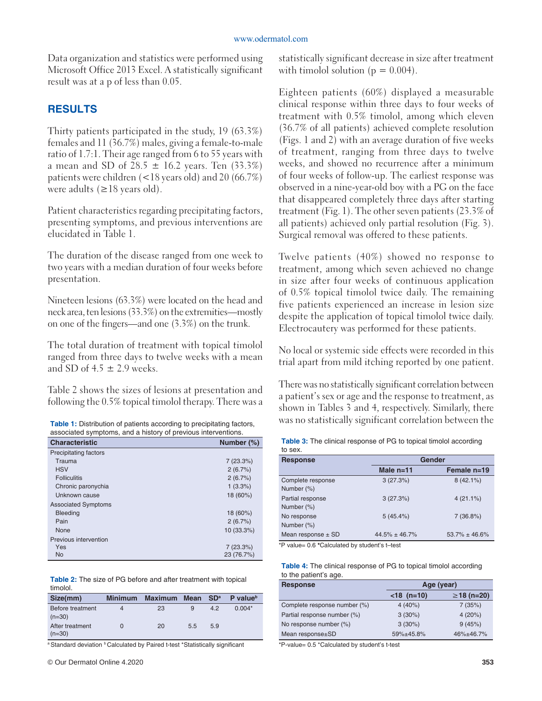Data organization and statistics were performed using Microsoft Office 2013 Excel. A statistically significant result was at a p of less than 0.05.

# **RESULTS**

Thirty patients participated in the study, 19 (63.3%) females and 11 (36.7%) males, giving a female-to-male ratio of 1.7:1. Their age ranged from 6 to 55 years with a mean and SD of  $28.5 \pm 16.2$  years. Ten (33.3%) patients were children (<18 years old) and 20 (66.7%) were adults  $(\geq 18$  years old).

Patient characteristics regarding precipitating factors, presenting symptoms, and previous interventions are elucidated in Table 1.

The duration of the disease ranged from one week to two years with a median duration of four weeks before presentation.

Nineteen lesions (63.3%) were located on the head and neck area, ten lesions (33.3%) on the extremities—mostly on one of the fingers—and one (3.3%) on the trunk.

The total duration of treatment with topical timolol ranged from three days to twelve weeks with a mean and SD of  $4.5 \pm 2.9$  weeks.

Table 2 shows the sizes of lesions at presentation and following the 0.5% topical timolol therapy. There was a

| <b>Table 1:</b> Distribution of patients according to precipitating factors, |
|------------------------------------------------------------------------------|
| associated symptoms, and a history of previous interventions.                |

| <b>Characteristic</b>      | Number (%) |
|----------------------------|------------|
| Precipitating factors      |            |
| Trauma                     | 7(23.3%)   |
| <b>HSV</b>                 | 2(6.7%)    |
| <b>Folliculitis</b>        | 2(6.7%)    |
| Chronic paronychia         | 1(3.3%)    |
| Unknown cause              | 18 (60%)   |
| <b>Associated Symptoms</b> |            |
| <b>Bleeding</b>            | 18 (60%)   |
| Pain                       | 2(6.7%)    |
| None                       | 10 (33.3%) |
| Previous intervention      |            |
| Yes                        | 7(23.3%)   |
| <b>No</b>                  | 23 (76.7%) |

|          |  |  | <b>Table 2:</b> The size of PG before and after treatment with topical |  |
|----------|--|--|------------------------------------------------------------------------|--|
| timolol. |  |  |                                                                        |  |

| Size(mm)                     | <b>Minimum</b> | <b>Maximum</b> | Mean $SDa$ |     | P value <sup>b</sup> |
|------------------------------|----------------|----------------|------------|-----|----------------------|
| Before treatment<br>$(n=30)$ |                | 23             | 9          | 4.2 | $0.004*$             |
| After treatment<br>$(n=30)$  |                | 20             | 5.5        | 5.9 |                      |

a Standard deviation **b** Calculated by Paired t-test \*Statistically significant

statistically significant decrease in size after treatment with timolol solution ( $p = 0.004$ ).

Eighteen patients (60%) displayed a measurable clinical response within three days to four weeks of treatment with 0.5% timolol, among which eleven (36.7% of all patients) achieved complete resolution (Figs. 1 and 2) with an average duration of five weeks of treatment, ranging from three days to twelve weeks, and showed no recurrence after a minimum of four weeks of follow-up. The earliest response was observed in a nine-year-old boy with a PG on the face that disappeared completely three days after starting treatment (Fig. 1). The other seven patients (23.3% of all patients) achieved only partial resolution (Fig. 3). Surgical removal was offered to these patients.

Twelve patients (40%) showed no response to treatment, among which seven achieved no change in size after four weeks of continuous application of 0.5% topical timolol twice daily. The remaining five patients experienced an increase in lesion size despite the application of topical timolol twice daily. Electrocautery was performed for these patients.

No local or systemic side effects were recorded in this trial apart from mild itching reported by one patient.

There was no statistically significant correlation between a patient's sex or age and the response to treatment, as shown in Tables 3 and 4, respectively. Similarly, there was no statistically significant correlation between the

|         | <b>Table 3:</b> The clinical response of PG to topical timolol according |
|---------|--------------------------------------------------------------------------|
| to sex. |                                                                          |

| <b>Response</b>                 | Gender            |                   |  |  |
|---------------------------------|-------------------|-------------------|--|--|
|                                 | Male $n=11$       | Female n=19       |  |  |
| Complete response<br>Number (%) | 3(27.3%)          | $8(42.1\%)$       |  |  |
| Partial response<br>Number (%)  | 3(27.3%)          | $4(21.1\%)$       |  |  |
| No response<br>Number (%)       | 5(45.4%)          | 7(36.8%)          |  |  |
| Mean response $\pm$ SD          | $44.5\% + 46.7\%$ | $53.7\% + 46.6\%$ |  |  |

\*P value= 0.6 **\***Calculated by student's t–test

| <b>Table 4:</b> The clinical response of PG to topical timolol according |  |  |
|--------------------------------------------------------------------------|--|--|
| to the patient's age.                                                    |  |  |

| <b>Response</b>              | Age (year)    |              |  |  |
|------------------------------|---------------|--------------|--|--|
|                              | $<$ 18 (n=10) | $≥18$ (n=20) |  |  |
| Complete response number (%) | 4(40%)        | 7(35%)       |  |  |
| Partial response number (%)  | 3(30%)        | 4(20%)       |  |  |
| No response number (%)       | 3(30%)        | 9(45%)       |  |  |
| Mean response±SD             | 59%±45.8%     | 46%±46.7%    |  |  |

\*P-value= 0.5 \*Calculated by student's t-test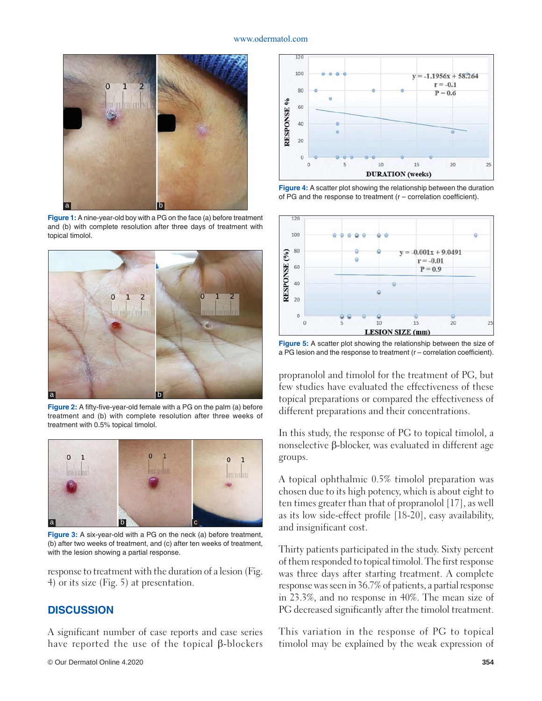

**Figure 1:** A nine-year-old boy with a PG on the face (a) before treatment and (b) with complete resolution after three days of treatment with topical timolol.



Figure 2: A fifty-five-year-old female with a PG on the palm (a) before treatment and (b) with complete resolution after three weeks of treatment with 0.5% topical timolol.



**Figure 3:** A six-year-old with a PG on the neck (a) before treatment, (b) after two weeks of treatment, and (c) after ten weeks of treatment, with the lesion showing a partial response.

response to treatment with the duration of a lesion (Fig. 4) or its size (Fig. 5) at presentation.

#### **DISCUSSION**

A significant number of case reports and case series have reported the use of the topical β-blockers



**Figure 4:** A scatter plot showing the relationship between the duration of PG and the response to treatment  $(r -$  correlation coefficient).



**Figure 5:** A scatter plot showing the relationship between the size of a PG lesion and the response to treatment  $(r -$  correlation coefficient).

propranolol and timolol for the treatment of PG, but few studies have evaluated the effectiveness of these topical preparations or compared the effectiveness of different preparations and their concentrations.

In this study, the response of PG to topical timolol, a nonselective β-blocker, was evaluated in different age groups.

A topical ophthalmic 0.5% timolol preparation was chosen due to its high potency, which is about eight to ten times greater than that of propranolol [17], as well as its low side-effect profile [18-20], easy availability, and insignificant cost.

Thirty patients participated in the study. Sixty percent of them responded to topical timolol. The first response was three days after starting treatment. A complete response was seen in 36.7% of patients, a partial response in 23.3%, and no response in 40%. The mean size of PG decreased significantly after the timolol treatment.

This variation in the response of PG to topical timolol may be explained by the weak expression of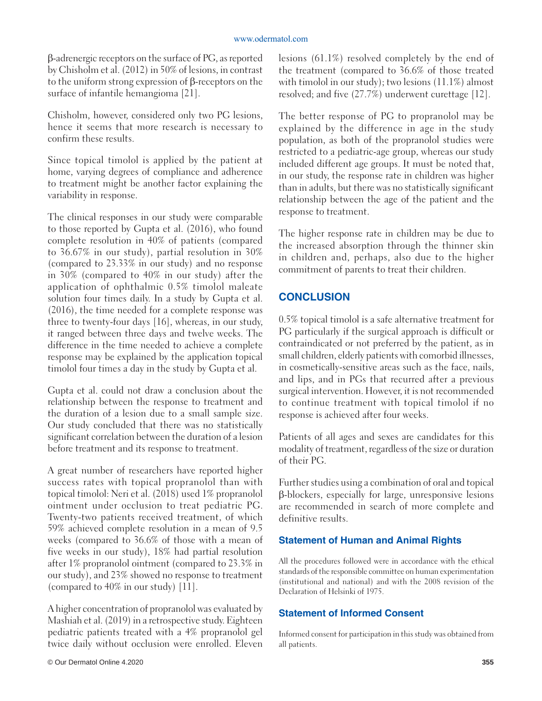#### www.odermatol.com

β-adrenergic receptors on the surface of PG, as reported by Chisholm et al. (2012) in 50% of lesions, in contrast to the uniform strong expression of β-receptors on the surface of infantile hemangioma [21].

Chisholm, however, considered only two PG lesions, hence it seems that more research is necessary to confirm these results.

Since topical timolol is applied by the patient at home, varying degrees of compliance and adherence to treatment might be another factor explaining the variability in response.

The clinical responses in our study were comparable to those reported by Gupta et al. (2016), who found complete resolution in 40% of patients (compared to 36.67% in our study), partial resolution in 30% (compared to 23.33% in our study) and no response in 30% (compared to 40% in our study) after the application of ophthalmic 0.5% timolol maleate solution four times daily. In a study by Gupta et al. (2016), the time needed for a complete response was three to twenty-four days [16], whereas, in our study, it ranged between three days and twelve weeks. The difference in the time needed to achieve a complete response may be explained by the application topical timolol four times a day in the study by Gupta et al.

Gupta et al. could not draw a conclusion about the relationship between the response to treatment and the duration of a lesion due to a small sample size. Our study concluded that there was no statistically significant correlation between the duration of a lesion before treatment and its response to treatment.

A great number of researchers have reported higher success rates with topical propranolol than with topical timolol: Neri et al. (2018) used 1% propranolol ointment under occlusion to treat pediatric PG. Twenty-two patients received treatment, of which 59% achieved complete resolution in a mean of 9.5 weeks (compared to 36.6% of those with a mean of five weeks in our study), 18% had partial resolution after 1% propranolol ointment (compared to 23.3% in our study), and 23% showed no response to treatment (compared to 40% in our study) [11].

A higher concentration of propranolol was evaluated by Mashiah et al. (2019) in a retrospective study. Eighteen pediatric patients treated with a 4% propranolol gel twice daily without occlusion were enrolled. Eleven

lesions (61.1%) resolved completely by the end of the treatment (compared to 36.6% of those treated with timolol in our study); two lesions (11.1%) almost resolved; and five (27.7%) underwent curettage [12].

The better response of PG to propranolol may be explained by the difference in age in the study population, as both of the propranolol studies were restricted to a pediatric-age group, whereas our study included different age groups. It must be noted that, in our study, the response rate in children was higher than in adults, but there was no statistically significant relationship between the age of the patient and the response to treatment.

The higher response rate in children may be due to the increased absorption through the thinner skin in children and, perhaps, also due to the higher commitment of parents to treat their children.

# **CONCLUSION**

0.5% topical timolol is a safe alternative treatment for PG particularly if the surgical approach is difficult or contraindicated or not preferred by the patient, as in small children, elderly patients with comorbid illnesses, in cosmetically-sensitive areas such as the face, nails, and lips, and in PGs that recurred after a previous surgical intervention. However, it is not recommended to continue treatment with topical timolol if no response is achieved after four weeks.

Patients of all ages and sexes are candidates for this modality of treatment, regardless of the size or duration of their PG.

Further studies using a combination of oral and topical β-blockers, especially for large, unresponsive lesions are recommended in search of more complete and definitive results.

# **Statement of Human and Animal Rights**

All the procedures followed were in accordance with the ethical standards of the responsible committee on human experimentation (institutional and national) and with the 2008 revision of the Declaration of Helsinki of 1975.

# **Statement of Informed Consent**

Informed consent for participation in this study was obtained from all patients.